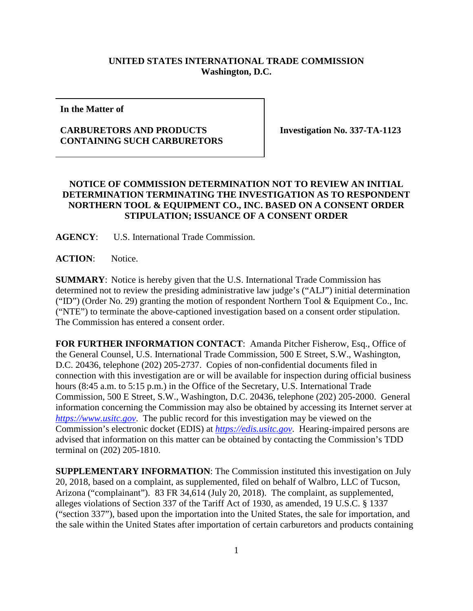## **UNITED STATES INTERNATIONAL TRADE COMMISSION Washington, D.C.**

**In the Matter of**

## **CARBURETORS AND PRODUCTS CONTAINING SUCH CARBURETORS**

**Investigation No. 337-TA-1123**

## **NOTICE OF COMMISSION DETERMINATION NOT TO REVIEW AN INITIAL DETERMINATION TERMINATING THE INVESTIGATION AS TO RESPONDENT NORTHERN TOOL & EQUIPMENT CO., INC. BASED ON A CONSENT ORDER STIPULATION; ISSUANCE OF A CONSENT ORDER**

**AGENCY**: U.S. International Trade Commission.

**ACTION**: Notice.

**SUMMARY**: Notice is hereby given that the U.S. International Trade Commission has determined not to review the presiding administrative law judge's ("ALJ") initial determination ("ID") (Order No. 29) granting the motion of respondent Northern Tool & Equipment Co., Inc. ("NTE") to terminate the above-captioned investigation based on a consent order stipulation. The Commission has entered a consent order.

**FOR FURTHER INFORMATION CONTACT**: Amanda Pitcher Fisherow, Esq., Office of the General Counsel, U.S. International Trade Commission, 500 E Street, S.W., Washington, D.C. 20436, telephone (202) 205-2737. Copies of non-confidential documents filed in connection with this investigation are or will be available for inspection during official business hours (8:45 a.m. to 5:15 p.m.) in the Office of the Secretary, U.S. International Trade Commission, 500 E Street, S.W., Washington, D.C. 20436, telephone (202) 205-2000. General information concerning the Commission may also be obtained by accessing its Internet server at *[https://www.usitc.gov](https://www.usitc.gov/)*. The public record for this investigation may be viewed on the Commission's electronic docket (EDIS) at *[https://edis.usitc.gov](https://edis.usitc.gov/)*. Hearing-impaired persons are advised that information on this matter can be obtained by contacting the Commission's TDD terminal on (202) 205-1810.

**SUPPLEMENTARY INFORMATION**: The Commission instituted this investigation on July 20, 2018, based on a complaint, as supplemented, filed on behalf of Walbro, LLC of Tucson, Arizona ("complainant"). 83 FR 34,614 (July 20, 2018). The complaint, as supplemented, alleges violations of Section 337 of the Tariff Act of 1930, as amended, 19 U.S.C. § 1337 ("section 337"), based upon the importation into the United States, the sale for importation, and the sale within the United States after importation of certain carburetors and products containing